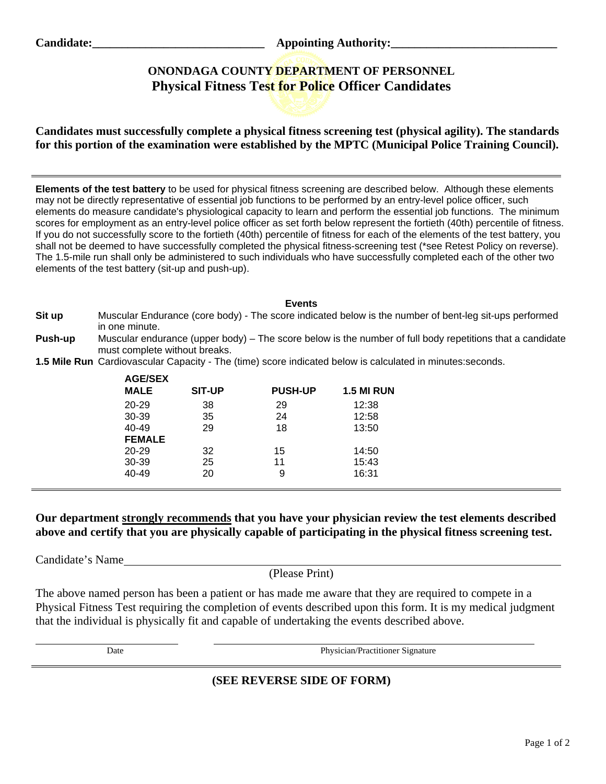Candidate: Candidate: **Candidate: Appointing Authority:** 

# **ONONDAGA COUNTY DEPARTMENT OF PERSONNEL Physical Fitness Test for Police Officer Candidates**



**Candidates must successfully complete a physical fitness screening test (physical agility). The standards for this portion of the examination were established by the MPTC (Municipal Police Training Council).** 

**Elements of the test battery** to be used for physical fitness screening are described below. Although these elements may not be directly representative of essential job functions to be performed by an entry-level police officer, such elements do measure candidate's physiological capacity to learn and perform the essential job functions. The minimum scores for employment as an entry-level police officer as set forth below represent the fortieth (40th) percentile of fitness. If you do not successfully score to the fortieth (40th) percentile of fitness for each of the elements of the test battery, you shall not be deemed to have successfully completed the physical fitness-screening test (\*see Retest Policy on reverse). The 1.5-mile run shall only be administered to such individuals who have successfully completed each of the other two elements of the test battery (sit-up and push-up).

#### **Events**

- **Sit up** Muscular Endurance (core body) The score indicated below is the number of bent-leg sit-ups performed in one minute.
- **Push-up** Muscular endurance (upper body) The score below is the number of full body repetitions that a candidate must complete without breaks.
- **1.5 Mile Run** Cardiovascular Capacity The (time) score indicated below is calculated in minutes:seconds.

| <b>AGE/SEX</b><br><b>MALE</b> | <b>SIT-UP</b> | <b>PUSH-UP</b> | <b>1.5 MI RUN</b> |
|-------------------------------|---------------|----------------|-------------------|
| $20 - 29$                     | 38            | 29             | 12:38             |
| 30-39                         | 35            | 24             | 12:58             |
| $40 - 49$                     | 29            | 18             | 13:50             |
| <b>FEMALE</b>                 |               |                |                   |
| $20 - 29$                     | 32            | 15             | 14:50             |
| 30-39                         | 25            | 11             | 15:43             |
| $40 - 49$                     | 20            | 9              | 16:31             |
|                               |               |                |                   |

## **Our department strongly recommends that you have your physician review the test elements described above and certify that you are physically capable of participating in the physical fitness screening test.**

Candidate's Name

l

(Please Print)

The above named person has been a patient or has made me aware that they are required to compete in a Physical Fitness Test requiring the completion of events described upon this form. It is my medical judgment that the individual is physically fit and capable of undertaking the events described above.

Date Physician/Practitioner Signature

# **(SEE REVERSE SIDE OF FORM)**